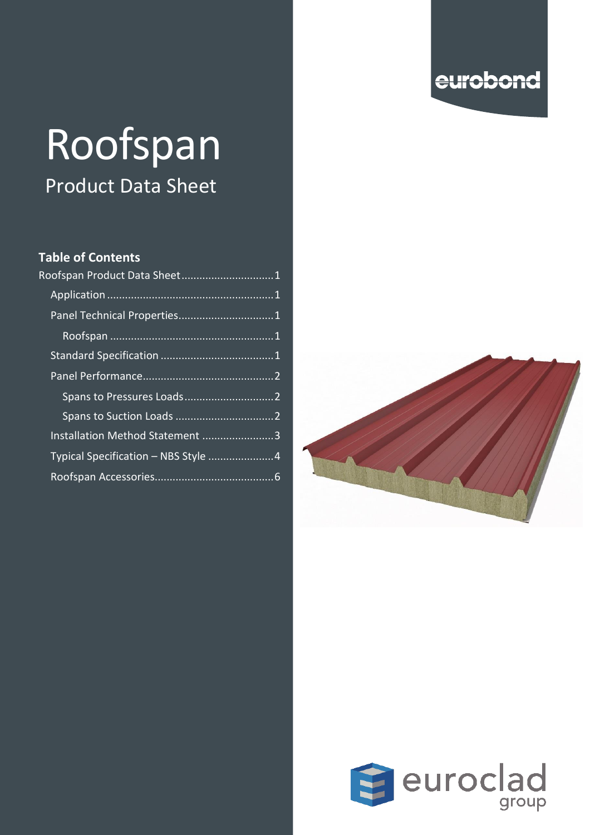## eurobond

# Roofspan Product Data Sheet

#### **Table of Contents**

| Roofspan Product Data Sheet 1       |  |
|-------------------------------------|--|
|                                     |  |
| Panel Technical Properties1         |  |
|                                     |  |
|                                     |  |
|                                     |  |
|                                     |  |
|                                     |  |
| Installation Method Statement 3     |  |
| Typical Specification - NBS Style 4 |  |
|                                     |  |
|                                     |  |



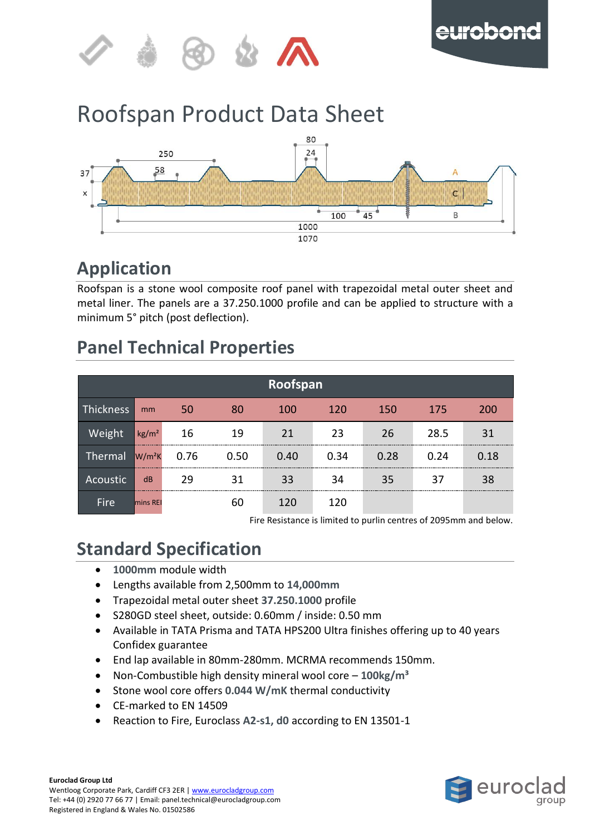

## <span id="page-1-0"></span>Roofspan Product Data Sheet



### <span id="page-1-1"></span>**Application**

Roofspan is a stone wool composite roof panel with trapezoidal metal outer sheet and metal liner. The panels are a 37.250.1000 profile and can be applied to structure with a minimum 5° pitch (post deflection).

## <span id="page-1-2"></span>**Panel Technical Properties**

<span id="page-1-3"></span>

| Roofspan              |                   |      |      |      |      |      |      |      |  |  |  |  |
|-----------------------|-------------------|------|------|------|------|------|------|------|--|--|--|--|
| Thickness             | mm                | 50   | 80   | 100  | 120  | 150  | 175  | 200  |  |  |  |  |
| Weight                | kg/m <sup>2</sup> | 16   | 19   | 21   | 23   | 26   | 28.5 | 31   |  |  |  |  |
| Thermal               | $W/m^2K$          | 0.76 | 0.50 | 0.40 | 0.34 | 0.28 | 0.24 | 0.18 |  |  |  |  |
| Acoustic <sup>1</sup> | dB                | 29   | 31   | 33   | 34   | 35   | 37   | 38   |  |  |  |  |
| Fire                  | <b>I</b> mins REI |      | 60   | 120  | 120  |      |      |      |  |  |  |  |

Fire Resistance is limited to purlin centres of 2095mm and below.

## <span id="page-1-4"></span>**Standard Specification**

- **1000mm** module width
- Lengths available from 2,500mm to **14,000mm**
- Trapezoidal metal outer sheet **37.250.1000** profile
- S280GD steel sheet, outside: 0.60mm / inside: 0.50 mm
- Available in TATA Prisma and TATA HPS200 Ultra finishes offering up to 40 years Confidex guarantee
- End lap available in 80mm-280mm. MCRMA recommends 150mm.
- Non-Combustible high density mineral wool core **100kg/m³**
- Stone wool core offers **0.044 W/mK** thermal conductivity
- CE-marked to EN 14509
- Reaction to Fire, Euroclass **A2-s1, d0** according to EN 13501-1

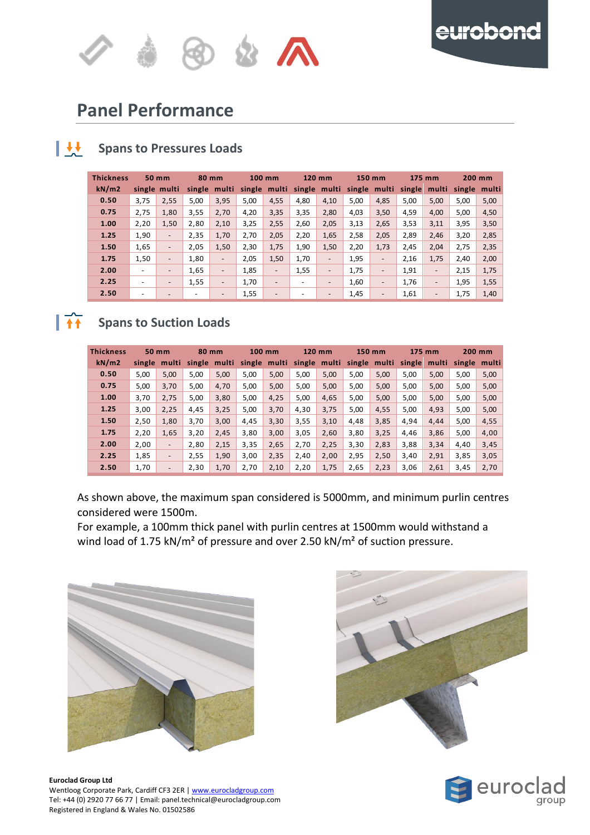

#### <span id="page-2-0"></span>u **Panel Performance**

#### <span id="page-2-1"></span> $\mathbf{H}$ **Spans to Pressures Loads**

| <b>Thickness</b> | 50 mm                    |                          | 80 mm  |                          | $100$ mm |                          | 120 mm                   |                          | 150 mm |                          | 175 mm |                              | 200 mm       |      |
|------------------|--------------------------|--------------------------|--------|--------------------------|----------|--------------------------|--------------------------|--------------------------|--------|--------------------------|--------|------------------------------|--------------|------|
| kN/m2            |                          | single multi             | single | multi                    |          | single multi             | single multi             |                          |        | single multi             |        | single multi                 | single multi |      |
| 0.50             | 3,75                     | 2,55                     | 5,00   | 3,95                     | 5,00     | 4,55                     | 4,80                     | 4,10                     | 5,00   | 4,85                     | 5,00   | 5,00                         | 5,00         | 5,00 |
| 0.75             | 2,75                     | 1,80                     | 3,55   | 2,70                     | 4,20     | 3,35                     | 3,35                     | 2,80                     | 4,03   | 3,50                     | 4,59   | 4,00                         | 5,00         | 4,50 |
| 1.00             | 2,20                     | 1,50                     | 2,80   | 2,10                     | 3,25     | 2,55                     | 2,60                     | 2,05                     | 3,13   | 2,65                     | 3,53   | 3,11                         | 3,95         | 3,50 |
| 1.25             | 1.90                     | $\overline{\phantom{a}}$ | 2,35   | 1,70                     | 2,70     | 2,05                     | 2,20                     | 1,65                     | 2,58   | 2,05                     | 2,89   | 2,46                         | 3,20         | 2,85 |
| 1.50             | 1,65                     | $\overline{\phantom{a}}$ | 2,05   | 1,50                     | 2,30     | 1,75                     | 1,90                     | 1,50                     | 2,20   | 1,73                     | 2,45   | 2,04                         | 2,75         | 2,35 |
| 1.75             | 1,50                     | $\overline{\phantom{a}}$ | 1,80   | -                        | 2,05     | 1,50                     | 1,70                     | $\overline{\phantom{a}}$ | 1,95   | $\overline{\phantom{0}}$ | 2,16   | 1,75                         | 2,40         | 2,00 |
| 2.00             | $\overline{\phantom{a}}$ | $\overline{\phantom{a}}$ | 1,65   | $\overline{\phantom{a}}$ | 1,85     | $\overline{\phantom{a}}$ | 1,55                     | $\overline{\phantom{a}}$ | 1,75   | $\qquad \qquad -$        | 1,91   | $\overline{\phantom{a}}$     | 2,15         | 1,75 |
| 2.25             | $\overline{\phantom{0}}$ | $\overline{\phantom{a}}$ | 1,55   | $\overline{\phantom{a}}$ | 1,70     | $\overline{\phantom{a}}$ | $\overline{\phantom{a}}$ | $\overline{\phantom{a}}$ | 1,60   | $\overline{\phantom{a}}$ | 1,76   | $\overline{\phantom{a}}$     | 1,95         | 1,55 |
| 2.50             |                          | $\overline{\phantom{a}}$ | ۰      | $\overline{\phantom{a}}$ | 1,55     |                          | $\overline{\phantom{a}}$ | $\overline{\phantom{0}}$ | 1,45   |                          | 1,61   | $\qquad \qquad \blacksquare$ | 1,75         | 1,40 |

#### <span id="page-2-2"></span>**Spans to Suction Loads**  $\overline{11}$

| <b>Thickness</b> | 50 mm  |                          | 80 mm  |       | 100 mm |       | 120 mm |              | 150 mm |              | 175 mm |       | 200 mm       |      |
|------------------|--------|--------------------------|--------|-------|--------|-------|--------|--------------|--------|--------------|--------|-------|--------------|------|
| kN/m2            | single | multi                    | single | multi | single | multi |        | single multi |        | single multi | single | multi | single multi |      |
| 0.50             | 5,00   | 5,00                     | 5,00   | 5,00  | 5,00   | 5,00  | 5,00   | 5,00         | 5,00   | 5,00         | 5,00   | 5,00  | 5,00         | 5,00 |
| 0.75             | 5,00   | 3,70                     | 5,00   | 4,70  | 5,00   | 5,00  | 5,00   | 5,00         | 5,00   | 5,00         | 5,00   | 5,00  | 5,00         | 5,00 |
| 1.00             | 3,70   | 2,75                     | 5,00   | 3,80  | 5,00   | 4,25  | 5,00   | 4,65         | 5,00   | 5,00         | 5,00   | 5,00  | 5,00         | 5,00 |
| 1.25             | 3,00   | 2,25                     | 4,45   | 3,25  | 5,00   | 3,70  | 4,30   | 3,75         | 5,00   | 4,55         | 5,00   | 4,93  | 5,00         | 5,00 |
| 1.50             | 2,50   | 1,80                     | 3,70   | 3,00  | 4,45   | 3,30  | 3,55   | 3,10         | 4,48   | 3,85         | 4,94   | 4,44  | 5,00         | 4,55 |
| 1.75             | 2.20   | 1,65                     | 3,20   | 2,45  | 3,80   | 3,00  | 3,05   | 2,60         | 3,80   | 3,25         | 4,46   | 3,86  | 5,00         | 4,00 |
| 2.00             | 2.00   | $\overline{\phantom{a}}$ | 2,80   | 2,15  | 3,35   | 2,65  | 2,70   | 2,25         | 3,30   | 2,83         | 3,88   | 3,34  | 4,40         | 3,45 |
| 2.25             | 1.85   | $\overline{\phantom{a}}$ | 2,55   | 1,90  | 3,00   | 2,35  | 2,40   | 2,00         | 2,95   | 2,50         | 3,40   | 2,91  | 3,85         | 3,05 |
| 2.50             | 1,70   |                          | 2,30   | 1,70  | 2,70   | 2,10  | 2,20   | 1,75         | 2,65   | 2,23         | 3,06   | 2,61  | 3,45         | 2,70 |

As shown above, the maximum span considered is 5000mm, and minimum purlin centres considered were 1500m.

For example, a 100mm thick panel with purlin centres at 1500mm would withstand a wind load of 1.75 kN/m<sup>2</sup> of pressure and over 2.50 kN/m<sup>2</sup> of suction pressure.



**Euroclad Group Ltd** Wentloog Corporate Park, Cardiff CF3 2ER [| www.eurocladgroup.com](http://www.eurocladgroup.com/) Tel: +44 (0) 2920 77 66 77 | Email: panel.technical@eurocladgroup.com Registered in England & Wales No. 01502586





eurobond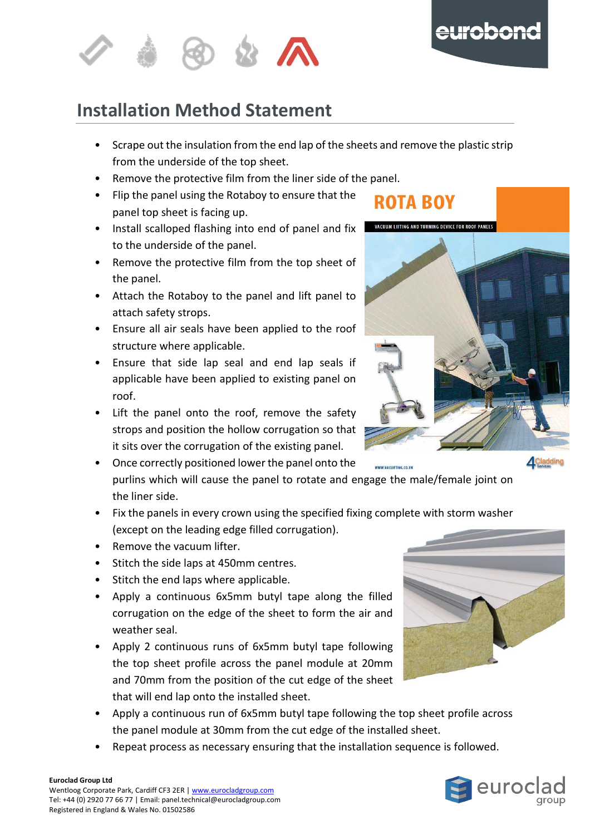



#### <span id="page-3-0"></span>u **Installation Method Statement**

- $\overline{\phantom{a}}$ • Scrape out the insulation from the end lap of the sheets and remove the plastic strip from the underside of the top sheet.
- e Remove the protective film from the liner side of the panel.
- .<br>I • Flip the panel using the Rotaboy to ensure that the 3 panel top sheet is facing up.
- Install scalloped flashing into end of panel and fix to the underside of the panel.
- Remove the protective film from the top sheet of the panel.
- Attach the Rotaboy to the panel and lift panel to attach safety strops.
- Ensure all air seals have been applied to the roof structure where applicable.
- Ensure that side lap seal and end lap seals if applicable have been applied to existing panel on roof.
- Lift the panel onto the roof, remove the safety strops and position the hollow corrugation so that it sits over the corrugation of the existing panel.
- Once correctly positioned lower the panel onto the WWW.VACLIFTING.CO.UK purlins which will cause the panel to rotate and engage the male/female joint on the liner side.
- Fix the panels in every crown using the specified fixing complete with storm washer (except on the leading edge filled corrugation).
- Remove the vacuum lifter.
- Stitch the side laps at 450mm centres.
- Stitch the end laps where applicable.
- Apply a continuous 6x5mm butyl tape along the filled corrugation on the edge of the sheet to form the air and weather seal.
- Apply 2 continuous runs of 6x5mm butyl tape following the top sheet profile across the panel module at 20mm and 70mm from the position of the cut edge of the sheet that will end lap onto the installed sheet.
- Apply a continuous run of 6x5mm butyl tape following the top sheet profile across the panel module at 30mm from the cut edge of the installed sheet.
- Repeat process as necessary ensuring that the installation sequence is followed.

**ROTA BOY** 







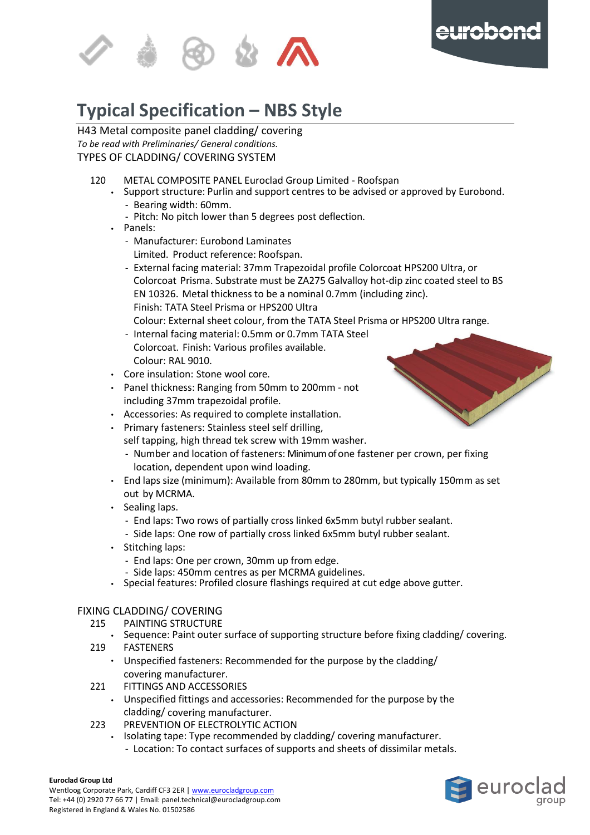



#### <span id="page-4-0"></span>u r **Typical Specification – NBS Style**

H43 Metal composite panel cladding/ covering p *To be read with Preliminaries/ General conditions.* a TYPES OF CLADDING/ COVERING SYSTEM

- 120 METAL COMPOSITE PANEL Euroclad Group Limited Roofspan
	- l Support structure: Purlin and support centres to be advised or approved by Eurobond. - Bearing width: 60mm.
		- Pitch: No pitch lower than 5 degrees post deflection. 0
	- Panels:
		- Manufacturer: Eurobond Laminates Limited. Product reference: Roofspan.
		- External facing material: 37mm Trapezoidal profile Colorcoat HPS200 Ultra, or Colorcoat Prisma. Substrate must be ZA275 Galvalloy hot-dip zinc coated steel to BS EN 10326. Metal thickness to be a nominal 0.7mm (including zinc). Finish: TATA Steel Prisma or HPS200 Ultra
			- Colour: External sheet colour, from the TATA Steel Prisma or HPS200 Ultra range.
		- Internal facing material: 0.5mm or 0.7mm TATA Steel Colorcoat. Finish: Various profiles available. Colour: RAL 9010.
	- Core insulation: Stone wool core.
	- Panel thickness: Ranging from 50mm to 200mm not including 37mm trapezoidal profile.
	- Accessories: As required to complete installation.
	- Primary fasteners: Stainless steel self drilling,
	- self tapping, high thread tek screw with 19mm washer.
		- Number and location of fasteners: Minimum of one fastener per crown, per fixing location, dependent upon wind loading.
	- End laps size (minimum): Available from 80mm to 280mm, but typically 150mm as set out by MCRMA.
	- Sealing laps.
		- End laps: Two rows of partially cross linked 6x5mm butyl rubber sealant.
		- Side laps: One row of partially cross linked 6x5mm butyl rubber sealant.
	- Stitching laps:
		- End laps: One per crown, 30mm up from edge.
		- Side laps: 450mm centres as per MCRMA guidelines.
	- Special features: Profiled closure flashings required at cut edge above gutter.

#### FIXING CLADDING/ COVERING

- 215 PAINTING STRUCTURE
	- Sequence: Paint outer surface of supporting structure before fixing cladding/ covering.
- 219 FASTENERS
	- Unspecified fasteners: Recommended for the purpose by the cladding/ covering manufacturer.
- 221 FITTINGS AND ACCESSORIES
	- Unspecified fittings and accessories: Recommended for the purpose by the cladding/ covering manufacturer.
- 223 PREVENTION OF ELECTROLYTIC ACTION
	- Isolating tape: Type recommended by cladding/ covering manufacturer.
		- Location: To contact surfaces of supports and sheets of dissimilar metals.

#### **Euroclad Group Ltd**

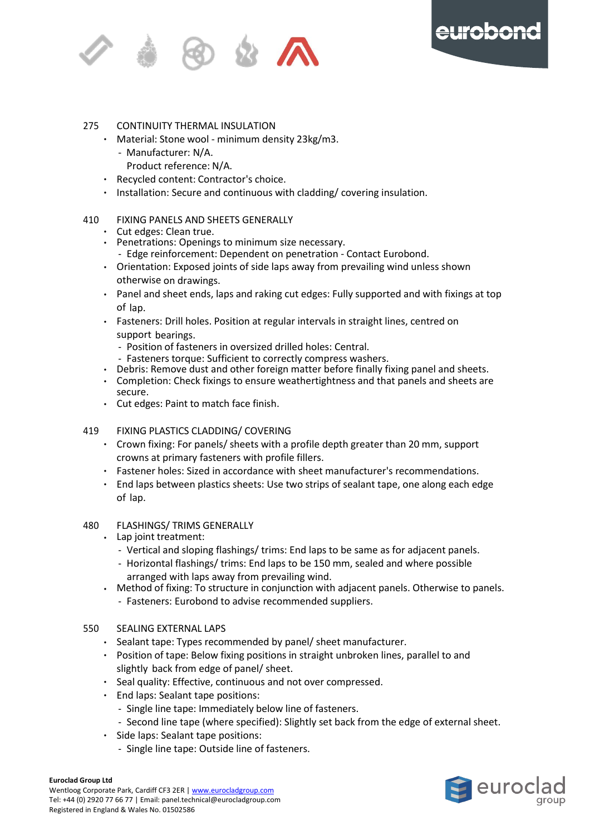



#### 275 CONTINUITY THERMAL INSULATION

- p Material: Stone wool minimum density 23kg/m3.
	- a Manufacturer: N/A.
		- Product reference: N/A.
- Recycled content: Contractor's choice.
- l Installation: Secure and continuous with cladding/ covering insulation. G

#### $\overline{\phantom{a}}$ 0 410 FIXING PANELS AND SHEETS GENERALLY

- Cut edges: Clean true.
- Penetrations: Openings to minimum size necessary.
- Edge reinforcement: Dependent on penetration Contact Eurobond.
- Orientation: Exposed joints of side laps away from prevailing wind unless shown otherwise on drawings.
- Panel and sheet ends, laps and raking cut edges: Fully supported and with fixings at top of lap.
- Fasteners: Drill holes. Position at regular intervals in straight lines, centred on support bearings.
	- Position of fasteners in oversized drilled holes: Central.
	- Fasteners torque: Sufficient to correctly compress washers.
- Debris: Remove dust and other foreign matter before finally fixing panel and sheets.
- Completion: Check fixings to ensure weathertightness and that panels and sheets are secure.
- Cut edges: Paint to match face finish.

#### 419 FIXING PLASTICS CLADDING/ COVERING

- Crown fixing: For panels/ sheets with a profile depth greater than 20 mm, support crowns at primary fasteners with profile fillers.
- Fastener holes: Sized in accordance with sheet manufacturer's recommendations.
- End laps between plastics sheets: Use two strips of sealant tape, one along each edge of lap.

#### 480 FLASHINGS/ TRIMS GENERALLY

- Lap joint treatment:
	- Vertical and sloping flashings/ trims: End laps to be same as for adjacent panels.
	- Horizontal flashings/ trims: End laps to be 150 mm, sealed and where possible arranged with laps away from prevailing wind.
- Method of fixing: To structure in conjunction with adjacent panels. Otherwise to panels. - Fasteners: Eurobond to advise recommended suppliers.
- 
- 550 SEALING EXTERNAL LAPS
	- Sealant tape: Types recommended by panel/ sheet manufacturer.
	- Position of tape: Below fixing positions in straight unbroken lines, parallel to and slightly back from edge of panel/ sheet.
	- Seal quality: Effective, continuous and not over compressed.
	- End laps: Sealant tape positions:
		- Single line tape: Immediately below line of fasteners.
		- Second line tape (where specified): Slightly set back from the edge of external sheet.
	- Side laps: Sealant tape positions:
		- Single line tape: Outside line of fasteners.



Wentloog Corporate Park, Cardiff CF3 2ER [| www.eurocladgroup.com](http://www.eurocladgroup.com/) Tel: +44 (0) 2920 77 66 77 | Email: panel.technical@eurocladgroup.com Registered in England & Wales No. 01502586